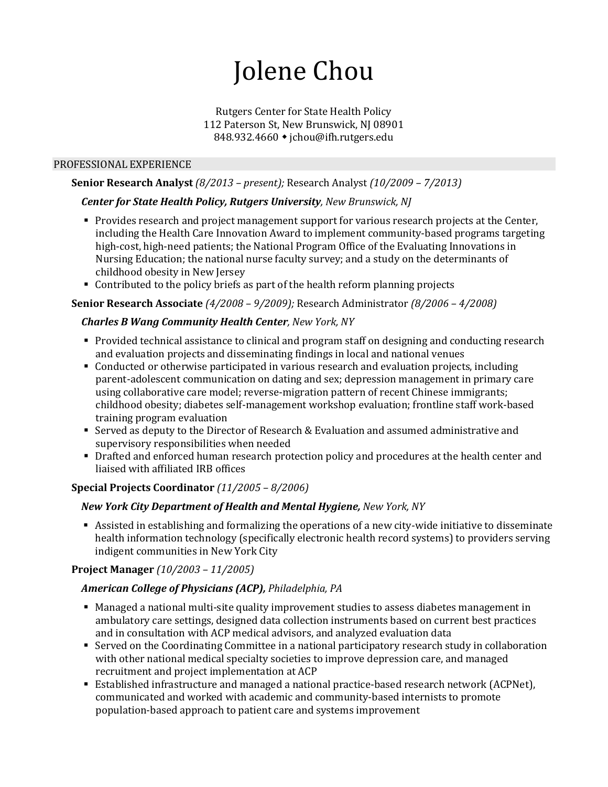# Jolene Chou

## Rutgers Center for State Health Policy 112 Paterson St, New Brunswick, NJ 08901 848.932.4660 • ichou@ifh.rutgers.edu

## PROFESSIONAL EXPERIENCE

# **Senior Research Analyst** *(8/2013 – present);* Research Analyst *(10/2009 – 7/2013)*

## *Center for State Health Policy, Rutgers University, New Brunswick, NJ*

- **Provides research and project management support for various research projects at the Center,** including the Health Care Innovation Award to implement community-based programs targeting high-cost, high-need patients; the National Program Office of the Evaluating Innovations in Nursing Education; the national nurse faculty survey; and a study on the determinants of childhood obesity in New Jersey
- Contributed to the policy briefs as part of the health reform planning projects

## **Senior Research Associate** *(4/2008 – 9/2009);* Research Administrator *(8/2006 – 4/2008)*

# *Charles B Wang Community Health Center, New York, NY*

- Provided technical assistance to clinical and program staff on designing and conducting research and evaluation projects and disseminating findings in local and national venues
- Conducted or otherwise participated in various research and evaluation projects, including parent-adolescent communication on dating and sex; depression management in primary care using collaborative care model; reverse-migration pattern of recent Chinese immigrants; childhood obesity; diabetes self-management workshop evaluation; frontline staff work-based training program evaluation
- Served as deputy to the Director of Research & Evaluation and assumed administrative and supervisory responsibilities when needed
- Drafted and enforced human research protection policy and procedures at the health center and liaised with affiliated IRB offices

## **Special Projects Coordinator** *(11/2005 – 8/2006)*

# *New York City Department of Health and Mental Hygiene, New York, NY*

 Assisted in establishing and formalizing the operations of a new city-wide initiative to disseminate health information technology (specifically electronic health record systems) to providers serving indigent communities in New York City

# **Project Manager** *(10/2003 – 11/2005)*

# *American College of Physicians (ACP), Philadelphia, PA*

- Managed a national multi-site quality improvement studies to assess diabetes management in ambulatory care settings, designed data collection instruments based on current best practices and in consultation with ACP medical advisors, and analyzed evaluation data
- Served on the Coordinating Committee in a national participatory research study in collaboration with other national medical specialty societies to improve depression care, and managed recruitment and project implementation at ACP
- Established infrastructure and managed a national practice-based research network (ACPNet), communicated and worked with academic and community-based internists to promote population-based approach to patient care and systems improvement